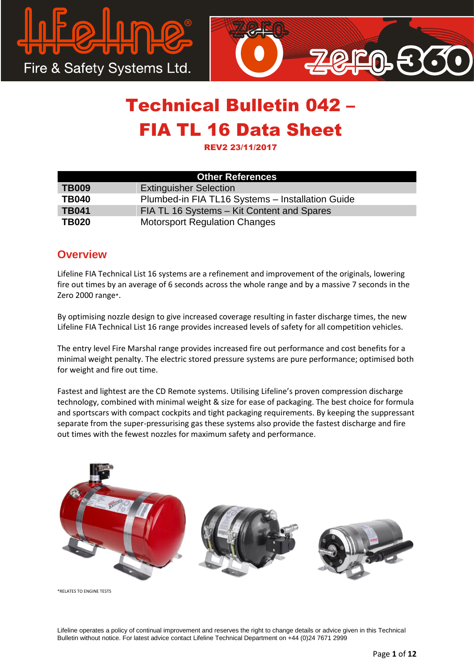



REV2 23/11/2017

| <b>Other References</b> |                                                  |  |  |  |
|-------------------------|--------------------------------------------------|--|--|--|
| <b>TB009</b>            | <b>Extinguisher Selection</b>                    |  |  |  |
| <b>TB040</b>            | Plumbed-in FIA TL16 Systems - Installation Guide |  |  |  |
| <b>TB041</b>            | FIA TL 16 Systems - Kit Content and Spares       |  |  |  |
| <b>TB020</b>            | <b>Motorsport Regulation Changes</b>             |  |  |  |

### **Overview**

Lifeline FIA Technical List 16 systems are a refinement and improvement of the originals, lowering fire out times by an average of 6 seconds across the whole range and by a massive 7 seconds in the Zero 2000 range\*.

By optimising nozzle design to give increased coverage resulting in faster discharge times, the new Lifeline FIA Technical List 16 range provides increased levels of safety for all competition vehicles.

The entry level Fire Marshal range provides increased fire out performance and cost benefits for a minimal weight penalty. The electric stored pressure systems are pure performance; optimised both for weight and fire out time.

Fastest and lightest are the CD Remote systems. Utilising Lifeline's proven compression discharge technology, combined with minimal weight & size for ease of packaging. The best choice for formula and sportscars with compact cockpits and tight packaging requirements. By keeping the suppressant separate from the super-pressurising gas these systems also provide the fastest discharge and fire out times with the fewest nozzles for maximum safety and performance.



\*RELATES TO ENGINE TESTS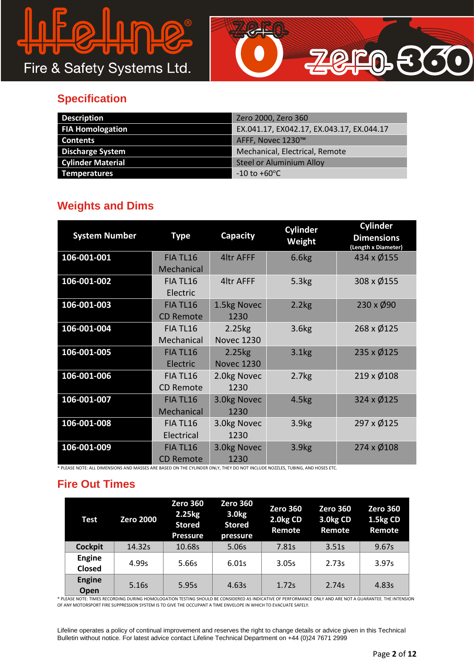# $\Omega$  $\Omega$

Fire & Safety Systems Ltd.



## **Specification**

| <b>Description</b>       | Zero 2000, Zero 360                       |
|--------------------------|-------------------------------------------|
| <b>FIA Homologation</b>  | EX.041.17, EX042.17, EX.043.17, EX.044.17 |
| <b>Contents</b>          | AFFF, Novec 1230™                         |
| <b>Discharge System</b>  | Mechanical, Electrical, Remote            |
| <b>Cylinder Material</b> | <b>Steel or Aluminium Alloy</b>           |
| <b>Temperatures</b>      | -10 to +60°C                              |

## **Weights and Dims**

| <b>System Number</b> | <b>Type</b>                        | Capacity                    | <b>Cylinder</b><br>Weight | <b>Cylinder</b><br><b>Dimensions</b><br>(Length x Diameter) |
|----------------------|------------------------------------|-----------------------------|---------------------------|-------------------------------------------------------------|
| 106-001-001          | FIA TL16<br>Mechanical             | <b>4ltr AFFF</b>            | 6.6kg                     | 434 x Ø155                                                  |
| 106-001-002          | FIA TL16<br>Electric               | 4ltr AFFF                   | 5.3kg                     | 308 x Ø155                                                  |
| 106-001-003          | FIA TL16<br><b>CD Remote</b>       | 1.5kg Novec<br>1230         | 2.2kg                     | 230 x Ø90                                                   |
| 106-001-004          | FIA TL16<br>Mechanical             | 2.25kg<br><b>Novec 1230</b> | 3.6 <sub>kg</sub>         | 268 x Ø125                                                  |
| 106-001-005          | FIA TL16<br>Electric               | 2.25kg<br><b>Novec 1230</b> | 3.1kg                     | 235 x Ø125                                                  |
| 106-001-006          | FIA TL16<br><b>CD Remote</b>       | 2.0kg Novec<br>1230         | 2.7 <sub>kg</sub>         | 219 x Ø108                                                  |
| 106-001-007          | FIA TL <sub>16</sub><br>Mechanical | 3.0kg Novec<br>1230         | 4.5 <sub>kg</sub>         | 324 x Ø125                                                  |
| 106-001-008          | FIA TL16<br>Electrical             | 3.0kg Novec<br>1230         | 3.9 <sub>kg</sub>         | 297 x Ø125                                                  |
| 106-001-009          | FIA TL16<br><b>CD Remote</b>       | 3.0kg Novec<br>1230         | 3.9 <sub>kg</sub>         | 274 x Ø108                                                  |

\* PLEASE NOTE: ALL DIMENSIONS AND MASSES ARE BASED ON THE CYLINDER ONLY, THEY DO NOT INCLUDE NOZZLES, TUBING, AND HOSES ETC.

## **Fire Out Times**

| Test                    | <b>Zero 2000</b> | <b>Zero 360</b><br>2.25kg<br><b>Stored</b><br><b>Pressure</b> | <b>Zero 360</b><br>3.0 <sub>kg</sub><br><b>Stored</b><br>pressure | <b>Zero 360</b><br>2.0kg CD<br>Remote | <b>Zero 360</b><br>3.0kg CD<br>Remote | <b>Zero 360</b><br>1.5kg CD<br>Remote |
|-------------------------|------------------|---------------------------------------------------------------|-------------------------------------------------------------------|---------------------------------------|---------------------------------------|---------------------------------------|
| <b>Cockpit</b>          | 14.32s           | 10.68s                                                        | 5.06s                                                             | 7.81s                                 | 3.51s                                 | 9.67s                                 |
| <b>Engine</b><br>Closed | 4.99s            | 5.66s                                                         | 6.01s                                                             | 3.05s                                 | 2.73s                                 | 3.97s                                 |
| <b>Engine</b><br>Open   | 5.16s            | 5.95s                                                         | 4.63s                                                             | 1.72s                                 | 2.74s                                 | 4.83s                                 |

\* PLEASE NOTE: TIMES RECORDING DURING HOMOLOGATION TESTING SHOULD BE CONSIDERED AS INDICATIVE OF PERFORMANCE ONLY AND ARE NOT A GUARANTEE. THE INTENSION OF ANY MOTORSPORT FIRE SUPPRESSION SYSTEM IS TO GIVE THE OCCUPANT A TIME ENVELOPE IN WHICH TO EVACUATE SAFELY.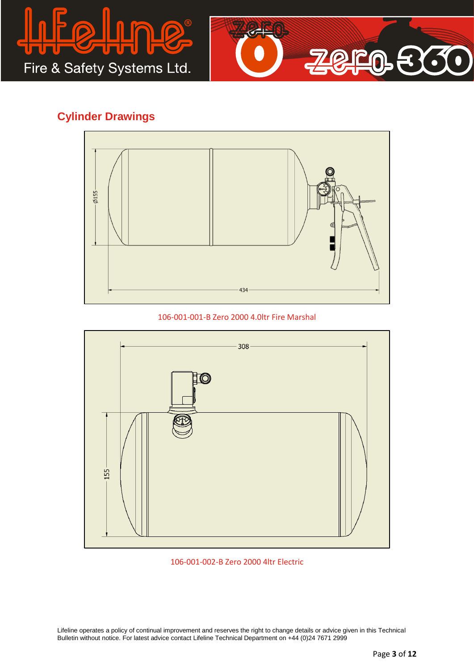



## **Cylinder Drawings**



106-001-001-B Zero 2000 4.0ltr Fire Marshal



#### 106-001-002-B Zero 2000 4ltr Electric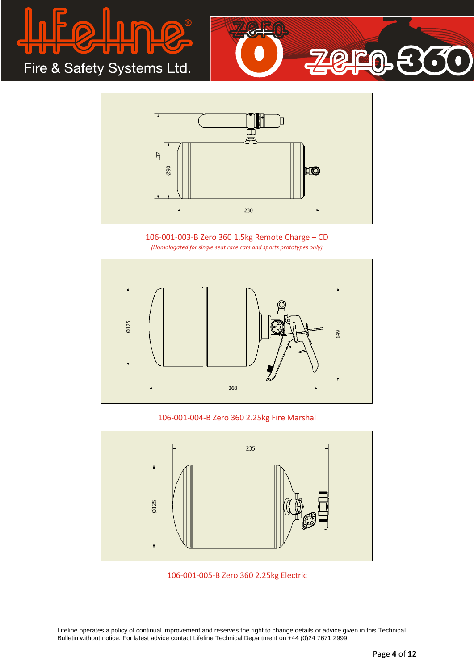





106-001-003-B Zero 360 1.5kg Remote Charge – CD *(Homologated for single seat race cars and sports prototypes only)*



#### 106-001-004-B Zero 360 2.25kg Fire Marshal



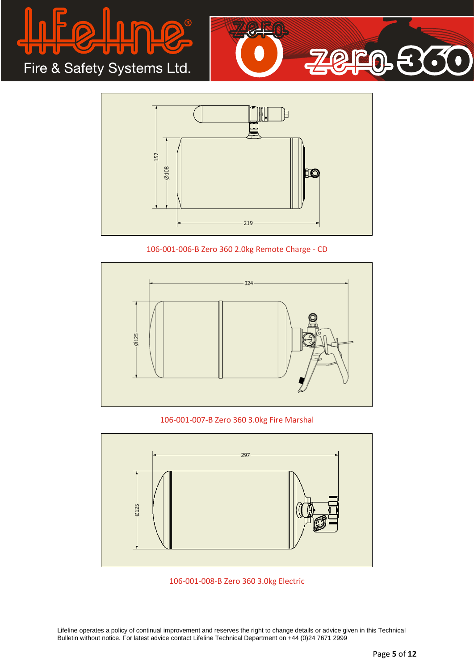





106-001-006-B Zero 360 2.0kg Remote Charge - CD



106-001-007-B Zero 360 3.0kg Fire Marshal



106-001-008-B Zero 360 3.0kg Electric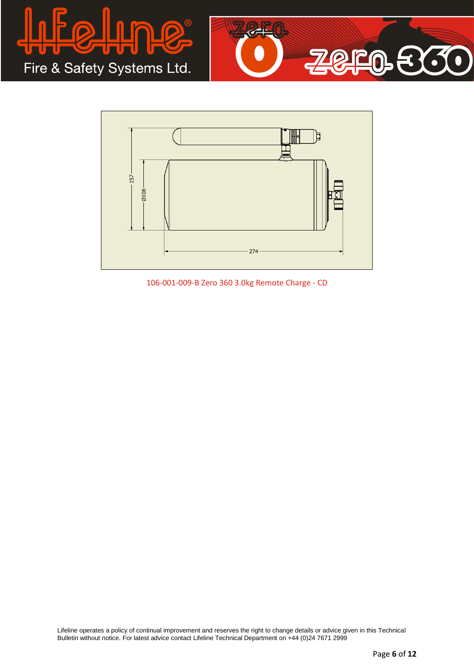





106-001-009-B Zero 360 3.0kg Remote Charge - CD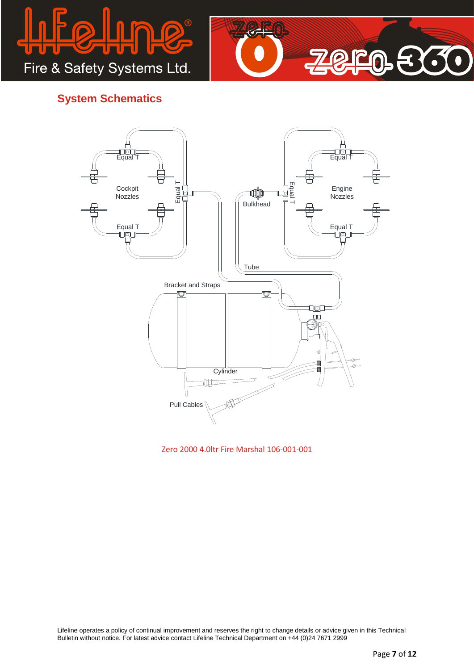



## **System Schematics**



Zero 2000 4.0ltr Fire Marshal 106-001-001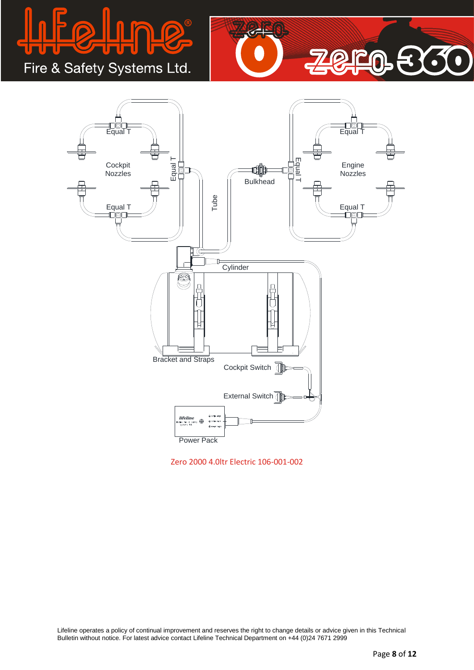

Fire & Safety Systems Ltd.





Zero 2000 4.0ltr Electric 106-001-002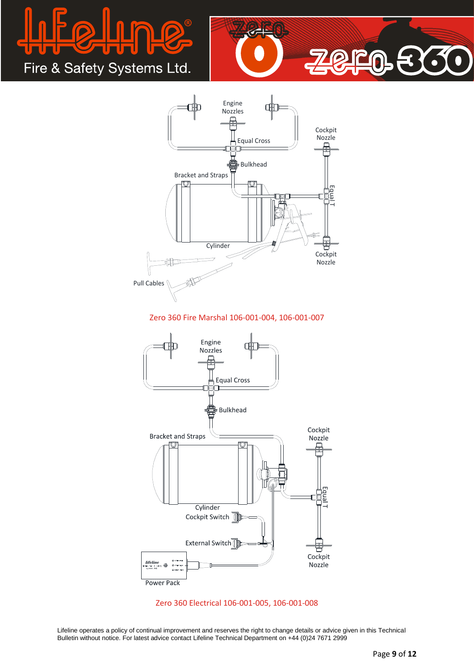





#### Zero 360 Fire Marshal 106-001-004, 106-001-007



#### Zero 360 Electrical 106-001-005, 106-001-008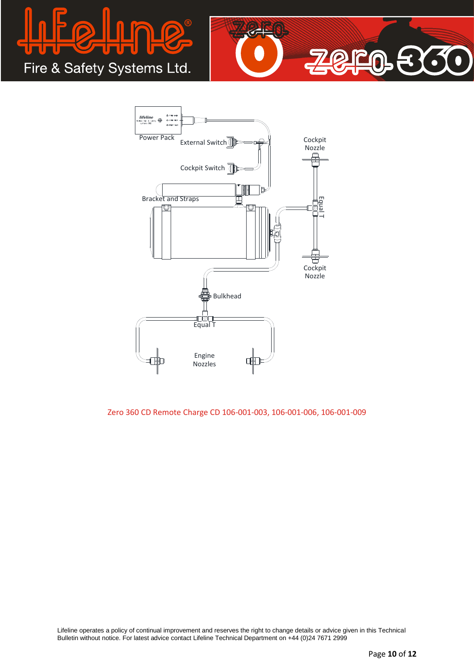





Zero 360 CD Remote Charge CD 106-001-003, 106-001-006, 106-001-009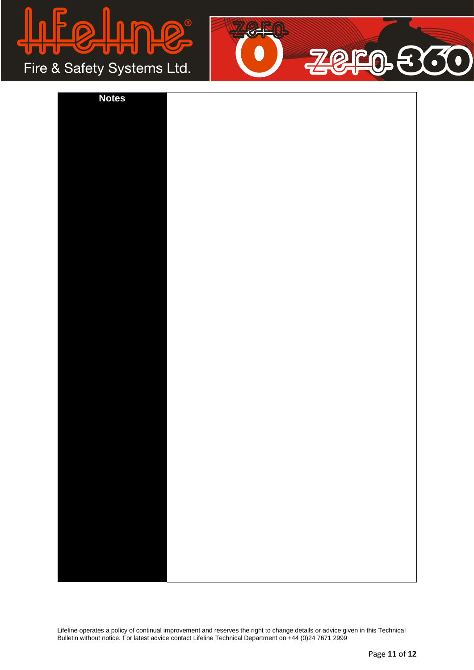

Fire & Safety Systems Ltd.